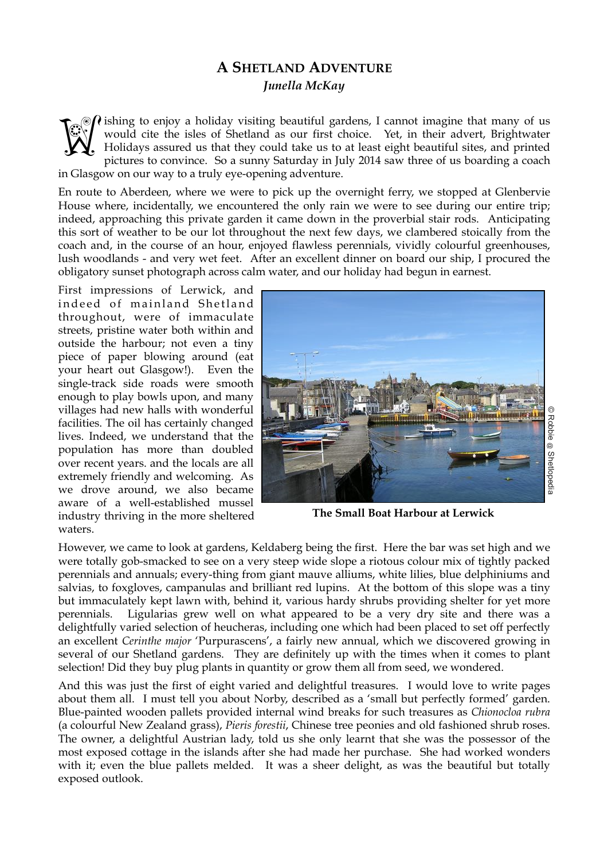## **A SHETLAND ADVENTURE**  *Junella McKay*

 $\Omega$  ishing to enjoy a holiday visiting beautiful gardens, I cannot imagine that many of us would cite the isles of Shetland as our first choice. Yet, in their advert, Brightwater Holidays assured us that they could take us to at least eight beautiful sites, and printed pictures to convince. So a sunny Saturday in July 2014 saw three of us boarding a coach in Glasgow on our way to a truly eye-opening adventure. **Weg** 

En route to Aberdeen, where we were to pick up the overnight ferry, we stopped at Glenbervie House where, incidentally, we encountered the only rain we were to see during our entire trip; indeed, approaching this private garden it came down in the proverbial stair rods. Anticipating this sort of weather to be our lot throughout the next few days, we clambered stoically from the coach and, in the course of an hour, enjoyed flawless perennials, vividly colourful greenhouses, lush woodlands - and very wet feet. After an excellent dinner on board our ship, I procured the obligatory sunset photograph across calm water, and our holiday had begun in earnest.

First impressions of Lerwick, and indeed of mainland Shetland throughout, were of immaculate streets, pristine water both within and outside the harbour; not even a tiny piece of paper blowing around (eat your heart out Glasgow!). Even the single-track side roads were smooth enough to play bowls upon, and many villages had new halls with wonderful facilities. The oil has certainly changed lives. Indeed, we understand that the population has more than doubled over recent years. and the locals are all extremely friendly and welcoming. As we drove around, we also became aware of a well-established mussel industry thriving in the more sheltered waters.



**The Small Boat Harbour at Lerwick**

However, we came to look at gardens, Keldaberg being the first. Here the bar was set high and we were totally gob-smacked to see on a very steep wide slope a riotous colour mix of tightly packed perennials and annuals; every-thing from giant mauve alliums, white lilies, blue delphiniums and salvias, to foxgloves, campanulas and brilliant red lupins. At the bottom of this slope was a tiny but immaculately kept lawn with, behind it, various hardy shrubs providing shelter for yet more perennials. Ligularias grew well on what appeared to be a very dry site and there was a delightfully varied selection of heucheras, including one which had been placed to set off perfectly an excellent *Cerinthe major* 'Purpurascens', a fairly new annual, which we discovered growing in several of our Shetland gardens. They are definitely up with the times when it comes to plant selection! Did they buy plug plants in quantity or grow them all from seed, we wondered.

And this was just the first of eight varied and delightful treasures. I would love to write pages about them all. I must tell you about Norby, described as a 'small but perfectly formed' garden. Blue-painted wooden pallets provided internal wind breaks for such treasures as *Chionocloa rubra* (a colourful New Zealand grass), *Pieris forestii*, Chinese tree peonies and old fashioned shrub roses. The owner, a delightful Austrian lady, told us she only learnt that she was the possessor of the most exposed cottage in the islands after she had made her purchase. She had worked wonders with it; even the blue pallets melded. It was a sheer delight, as was the beautiful but totally exposed outlook.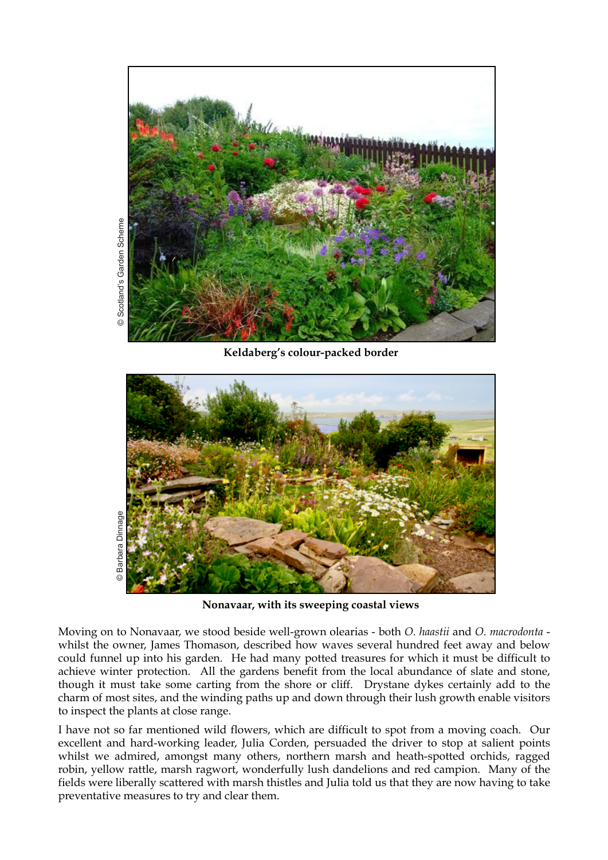

**Keldaberg's colour-packed border**



**Nonavaar, with its sweeping coastal views**

Moving on to Nonavaar, we stood beside well-grown olearias - both *O. haastii* and *O. macrodonta* whilst the owner, James Thomason, described how waves several hundred feet away and below could funnel up into his garden. He had many potted treasures for which it must be difficult to achieve winter protection. All the gardens benefit from the local abundance of slate and stone, though it must take some carting from the shore or cliff. Drystane dykes certainly add to the charm of most sites, and the winding paths up and down through their lush growth enable visitors to inspect the plants at close range.

I have not so far mentioned wild flowers, which are difficult to spot from a moving coach. Our excellent and hard-working leader, Julia Corden, persuaded the driver to stop at salient points whilst we admired, amongst many others, northern marsh and heath-spotted orchids, ragged robin, yellow rattle, marsh ragwort, wonderfully lush dandelions and red campion. Many of the fields were liberally scattered with marsh thistles and Julia told us that they are now having to take preventative measures to try and clear them.